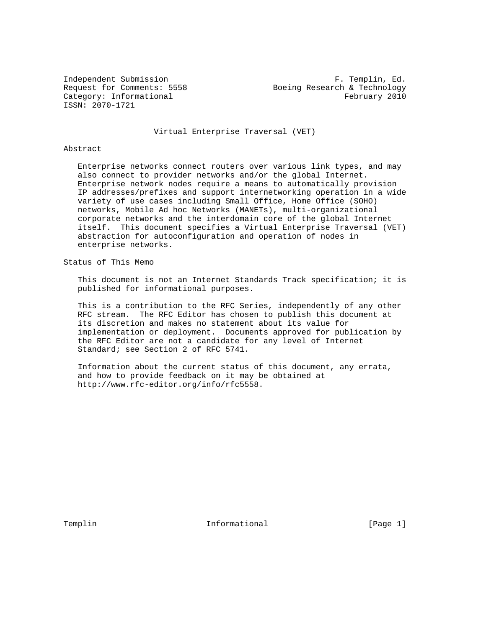ISSN: 2070-1721

Independent Submission **F. Templin, Ed.** Request for Comments: 5558 Boeing Research & Technology Category: Informational example of the example of the February 2010

Virtual Enterprise Traversal (VET)

# Abstract

 Enterprise networks connect routers over various link types, and may also connect to provider networks and/or the global Internet. Enterprise network nodes require a means to automatically provision IP addresses/prefixes and support internetworking operation in a wide variety of use cases including Small Office, Home Office (SOHO) networks, Mobile Ad hoc Networks (MANETs), multi-organizational corporate networks and the interdomain core of the global Internet itself. This document specifies a Virtual Enterprise Traversal (VET) abstraction for autoconfiguration and operation of nodes in enterprise networks.

# Status of This Memo

 This document is not an Internet Standards Track specification; it is published for informational purposes.

 This is a contribution to the RFC Series, independently of any other RFC stream. The RFC Editor has chosen to publish this document at its discretion and makes no statement about its value for implementation or deployment. Documents approved for publication by the RFC Editor are not a candidate for any level of Internet Standard; see Section 2 of RFC 5741.

 Information about the current status of this document, any errata, and how to provide feedback on it may be obtained at http://www.rfc-editor.org/info/rfc5558.

Templin 1nformational [Page 1]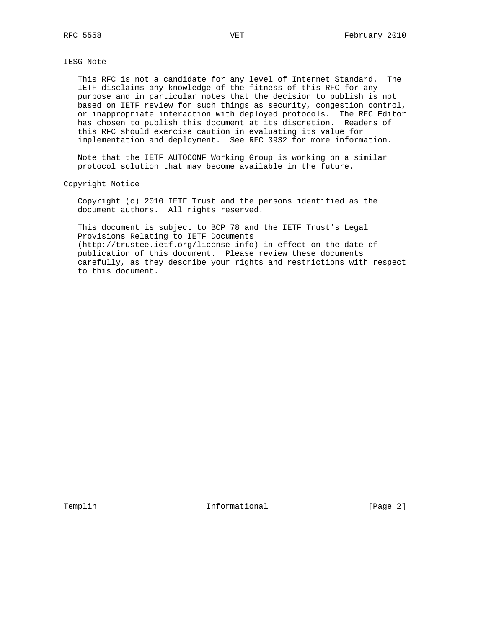IESG Note

 This RFC is not a candidate for any level of Internet Standard. The IETF disclaims any knowledge of the fitness of this RFC for any purpose and in particular notes that the decision to publish is not based on IETF review for such things as security, congestion control, or inappropriate interaction with deployed protocols. The RFC Editor has chosen to publish this document at its discretion. Readers of this RFC should exercise caution in evaluating its value for implementation and deployment. See RFC 3932 for more information.

 Note that the IETF AUTOCONF Working Group is working on a similar protocol solution that may become available in the future.

Copyright Notice

 Copyright (c) 2010 IETF Trust and the persons identified as the document authors. All rights reserved.

 This document is subject to BCP 78 and the IETF Trust's Legal Provisions Relating to IETF Documents (http://trustee.ietf.org/license-info) in effect on the date of publication of this document. Please review these documents carefully, as they describe your rights and restrictions with respect to this document.

Templin 1nformational 1.1 [Page 2]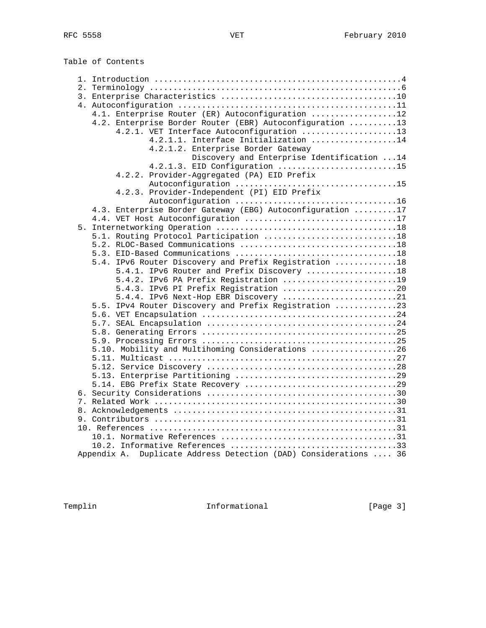Table of Contents

| 4.1. Enterprise Router (ER) Autoconfiguration 12                 |  |
|------------------------------------------------------------------|--|
| 4.2. Enterprise Border Router (EBR) Autoconfiguration 13         |  |
| 4.2.1. VET Interface Autoconfiguration 13                        |  |
| 4.2.1.1. Interface Initialization 14                             |  |
| 4.2.1.2. Enterprise Border Gateway                               |  |
| Discovery and Enterprise Identification  14                      |  |
| 4.2.1.3. EID Configuration 15                                    |  |
| 4.2.2. Provider-Aggregated (PA) EID Prefix                       |  |
|                                                                  |  |
| 4.2.3. Provider-Independent (PI) EID Prefix                      |  |
| 4.3. Enterprise Border Gateway (EBG) Autoconfiguration 17        |  |
|                                                                  |  |
|                                                                  |  |
| 5.1. Routing Protocol Participation 18                           |  |
|                                                                  |  |
|                                                                  |  |
| 5.4. IPv6 Router Discovery and Prefix Registration 18            |  |
| 5.4.1. IPv6 Router and Prefix Discovery 18                       |  |
| 5.4.2. IPv6 PA Prefix Registration 19                            |  |
| 5.4.3. IPv6 PI Prefix Registration 20                            |  |
| 5.4.4. IPv6 Next-Hop EBR Discovery 21                            |  |
| 5.5. IPv4 Router Discovery and Prefix Registration 23            |  |
|                                                                  |  |
|                                                                  |  |
|                                                                  |  |
|                                                                  |  |
| 5.10. Mobility and Multihoming Considerations 26                 |  |
|                                                                  |  |
|                                                                  |  |
|                                                                  |  |
|                                                                  |  |
|                                                                  |  |
|                                                                  |  |
|                                                                  |  |
|                                                                  |  |
|                                                                  |  |
|                                                                  |  |
|                                                                  |  |
| Appendix A. Duplicate Address Detection (DAD) Considerations  36 |  |
|                                                                  |  |

Templin Informational [Page 3]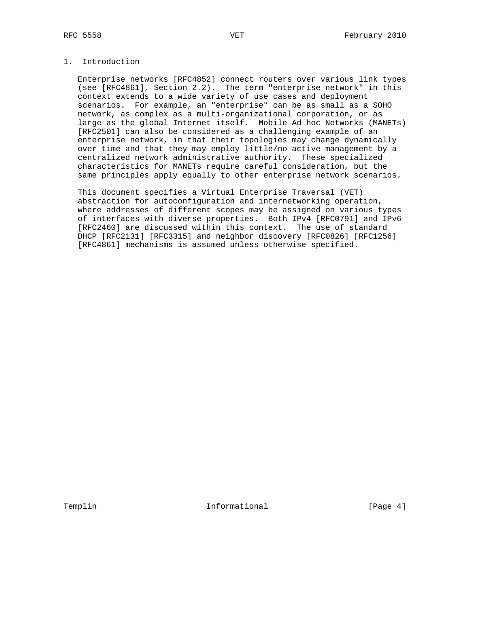# 1. Introduction

 Enterprise networks [RFC4852] connect routers over various link types (see [RFC4861], Section 2.2). The term "enterprise network" in this context extends to a wide variety of use cases and deployment scenarios. For example, an "enterprise" can be as small as a SOHO network, as complex as a multi-organizational corporation, or as large as the global Internet itself. Mobile Ad hoc Networks (MANETs) [RFC2501] can also be considered as a challenging example of an enterprise network, in that their topologies may change dynamically over time and that they may employ little/no active management by a centralized network administrative authority. These specialized characteristics for MANETs require careful consideration, but the same principles apply equally to other enterprise network scenarios.

 This document specifies a Virtual Enterprise Traversal (VET) abstraction for autoconfiguration and internetworking operation, where addresses of different scopes may be assigned on various types of interfaces with diverse properties. Both IPv4 [RFC0791] and IPv6 [RFC2460] are discussed within this context. The use of standard DHCP [RFC2131] [RFC3315] and neighbor discovery [RFC0826] [RFC1256] [RFC4861] mechanisms is assumed unless otherwise specified.

Templin 1nformational 1.1 [Page 4]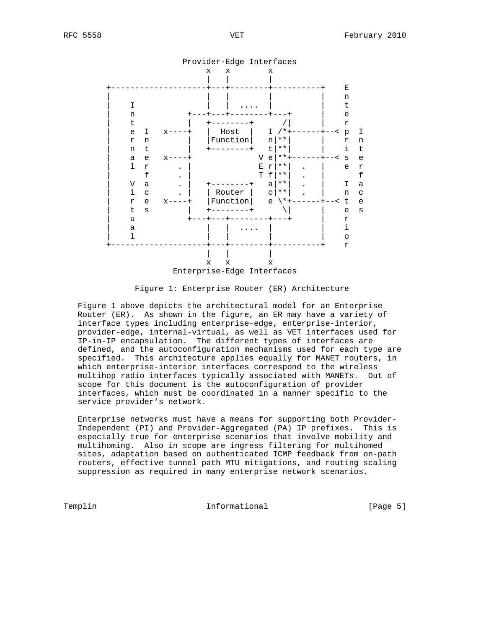

Figure 1: Enterprise Router (ER) Architecture

 Figure 1 above depicts the architectural model for an Enterprise Router (ER). As shown in the figure, an ER may have a variety of interface types including enterprise-edge, enterprise-interior, provider-edge, internal-virtual, as well as VET interfaces used for IP-in-IP encapsulation. The different types of interfaces are defined, and the autoconfiguration mechanisms used for each type are specified. This architecture applies equally for MANET routers, in which enterprise-interior interfaces correspond to the wireless multihop radio interfaces typically associated with MANETs. Out of scope for this document is the autoconfiguration of provider interfaces, which must be coordinated in a manner specific to the service provider's network.

 Enterprise networks must have a means for supporting both Provider- Independent (PI) and Provider-Aggregated (PA) IP prefixes. This is especially true for enterprise scenarios that involve mobility and multihoming. Also in scope are ingress filtering for multihomed sites, adaptation based on authenticated ICMP feedback from on-path routers, effective tunnel path MTU mitigations, and routing scaling suppression as required in many enterprise network scenarios.

Templin 10 Informational 1 and The Informational Templin 2016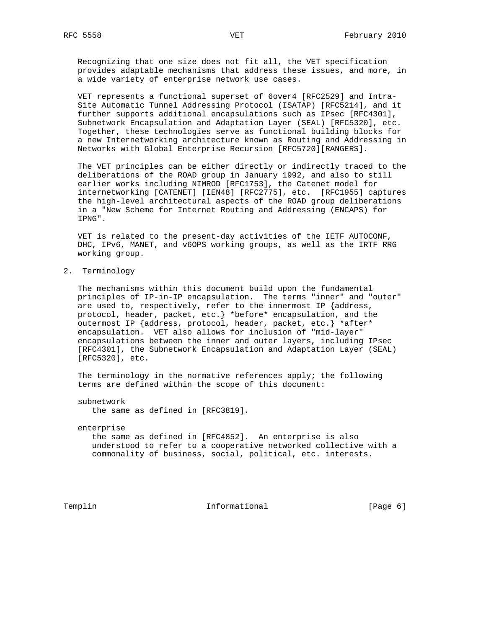Recognizing that one size does not fit all, the VET specification provides adaptable mechanisms that address these issues, and more, in a wide variety of enterprise network use cases.

 VET represents a functional superset of 6over4 [RFC2529] and Intra- Site Automatic Tunnel Addressing Protocol (ISATAP) [RFC5214], and it further supports additional encapsulations such as IPsec [RFC4301], Subnetwork Encapsulation and Adaptation Layer (SEAL) [RFC5320], etc. Together, these technologies serve as functional building blocks for a new Internetworking architecture known as Routing and Addressing in Networks with Global Enterprise Recursion [RFC5720][RANGERS].

 The VET principles can be either directly or indirectly traced to the deliberations of the ROAD group in January 1992, and also to still earlier works including NIMROD [RFC1753], the Catenet model for internetworking [CATENET] [IEN48] [RFC2775], etc. [RFC1955] captures the high-level architectural aspects of the ROAD group deliberations in a "New Scheme for Internet Routing and Addressing (ENCAPS) for IPNG".

 VET is related to the present-day activities of the IETF AUTOCONF, DHC, IPv6, MANET, and v6OPS working groups, as well as the IRTF RRG working group.

2. Terminology

 The mechanisms within this document build upon the fundamental principles of IP-in-IP encapsulation. The terms "inner" and "outer" are used to, respectively, refer to the innermost IP {address, protocol, header, packet, etc.} \*before\* encapsulation, and the outermost IP {address, protocol, header, packet, etc.} \*after\* encapsulation. VET also allows for inclusion of "mid-layer" encapsulations between the inner and outer layers, including IPsec [RFC4301], the Subnetwork Encapsulation and Adaptation Layer (SEAL) [RFC5320], etc.

 The terminology in the normative references apply; the following terms are defined within the scope of this document:

subnetwork

the same as defined in [RFC3819].

#### enterprise

 the same as defined in [RFC4852]. An enterprise is also understood to refer to a cooperative networked collective with a commonality of business, social, political, etc. interests.

Templin 1nformational 1.1 [Page 6]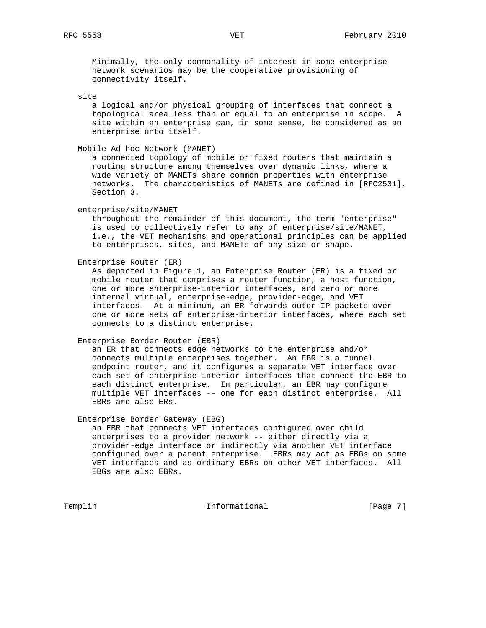Minimally, the only commonality of interest in some enterprise network scenarios may be the cooperative provisioning of connectivity itself.

# site

 a logical and/or physical grouping of interfaces that connect a topological area less than or equal to an enterprise in scope. A site within an enterprise can, in some sense, be considered as an enterprise unto itself.

Mobile Ad hoc Network (MANET)

 a connected topology of mobile or fixed routers that maintain a routing structure among themselves over dynamic links, where a wide variety of MANETs share common properties with enterprise networks. The characteristics of MANETs are defined in [RFC2501], Section 3.

enterprise/site/MANET

 throughout the remainder of this document, the term "enterprise" is used to collectively refer to any of enterprise/site/MANET, i.e., the VET mechanisms and operational principles can be applied to enterprises, sites, and MANETs of any size or shape.

Enterprise Router (ER)

 As depicted in Figure 1, an Enterprise Router (ER) is a fixed or mobile router that comprises a router function, a host function, one or more enterprise-interior interfaces, and zero or more internal virtual, enterprise-edge, provider-edge, and VET interfaces. At a minimum, an ER forwards outer IP packets over one or more sets of enterprise-interior interfaces, where each set connects to a distinct enterprise.

Enterprise Border Router (EBR)

 an ER that connects edge networks to the enterprise and/or connects multiple enterprises together. An EBR is a tunnel endpoint router, and it configures a separate VET interface over each set of enterprise-interior interfaces that connect the EBR to each distinct enterprise. In particular, an EBR may configure multiple VET interfaces -- one for each distinct enterprise. All EBRs are also ERs.

Enterprise Border Gateway (EBG)

 an EBR that connects VET interfaces configured over child enterprises to a provider network -- either directly via a provider-edge interface or indirectly via another VET interface configured over a parent enterprise. EBRs may act as EBGs on some VET interfaces and as ordinary EBRs on other VET interfaces. All EBGs are also EBRs.

Templin **Informational** Informational [Page 7]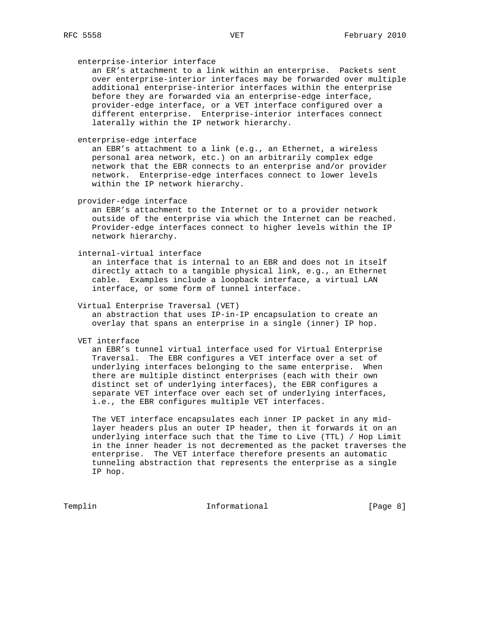#### enterprise-interior interface

 an ER's attachment to a link within an enterprise. Packets sent over enterprise-interior interfaces may be forwarded over multiple additional enterprise-interior interfaces within the enterprise before they are forwarded via an enterprise-edge interface, provider-edge interface, or a VET interface configured over a different enterprise. Enterprise-interior interfaces connect laterally within the IP network hierarchy.

# enterprise-edge interface

 an EBR's attachment to a link (e.g., an Ethernet, a wireless personal area network, etc.) on an arbitrarily complex edge network that the EBR connects to an enterprise and/or provider network. Enterprise-edge interfaces connect to lower levels within the IP network hierarchy.

provider-edge interface

 an EBR's attachment to the Internet or to a provider network outside of the enterprise via which the Internet can be reached. Provider-edge interfaces connect to higher levels within the IP network hierarchy.

internal-virtual interface

 an interface that is internal to an EBR and does not in itself directly attach to a tangible physical link, e.g., an Ethernet cable. Examples include a loopback interface, a virtual LAN interface, or some form of tunnel interface.

#### Virtual Enterprise Traversal (VET)

 an abstraction that uses IP-in-IP encapsulation to create an overlay that spans an enterprise in a single (inner) IP hop.

VET interface

 an EBR's tunnel virtual interface used for Virtual Enterprise Traversal. The EBR configures a VET interface over a set of underlying interfaces belonging to the same enterprise. When there are multiple distinct enterprises (each with their own distinct set of underlying interfaces), the EBR configures a separate VET interface over each set of underlying interfaces, i.e., the EBR configures multiple VET interfaces.

 The VET interface encapsulates each inner IP packet in any mid layer headers plus an outer IP header, then it forwards it on an underlying interface such that the Time to Live (TTL) / Hop Limit in the inner header is not decremented as the packet traverses the enterprise. The VET interface therefore presents an automatic tunneling abstraction that represents the enterprise as a single IP hop.

Templin **Informational** Informational [Page 8]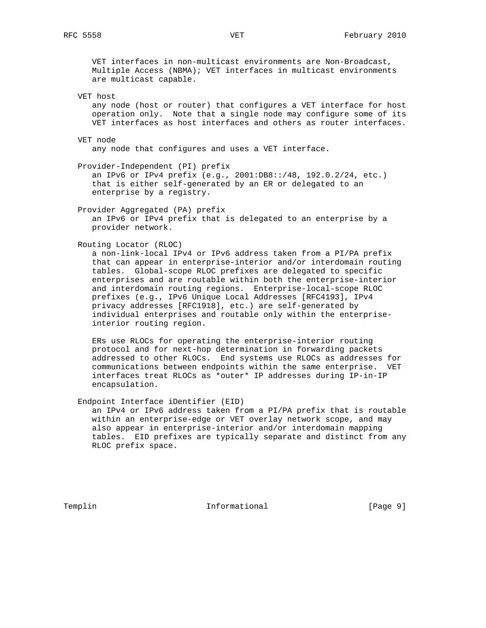VET interfaces in non-multicast environments are Non-Broadcast, Multiple Access (NBMA); VET interfaces in multicast environments are multicast capable.

VET host

 any node (host or router) that configures a VET interface for host operation only. Note that a single node may configure some of its VET interfaces as host interfaces and others as router interfaces.

VET node

any node that configures and uses a VET interface.

Provider-Independent (PI) prefix

 an IPv6 or IPv4 prefix (e.g., 2001:DB8::/48, 192.0.2/24, etc.) that is either self-generated by an ER or delegated to an enterprise by a registry.

Provider Aggregated (PA) prefix

 an IPv6 or IPv4 prefix that is delegated to an enterprise by a provider network.

Routing Locator (RLOC)

 a non-link-local IPv4 or IPv6 address taken from a PI/PA prefix that can appear in enterprise-interior and/or interdomain routing tables. Global-scope RLOC prefixes are delegated to specific enterprises and are routable within both the enterprise-interior and interdomain routing regions. Enterprise-local-scope RLOC prefixes (e.g., IPv6 Unique Local Addresses [RFC4193], IPv4 privacy addresses [RFC1918], etc.) are self-generated by individual enterprises and routable only within the enterprise interior routing region.

 ERs use RLOCs for operating the enterprise-interior routing protocol and for next-hop determination in forwarding packets addressed to other RLOCs. End systems use RLOCs as addresses for communications between endpoints within the same enterprise. VET interfaces treat RLOCs as \*outer\* IP addresses during IP-in-IP encapsulation.

Endpoint Interface iDentifier (EID)

 an IPv4 or IPv6 address taken from a PI/PA prefix that is routable within an enterprise-edge or VET overlay network scope, and may also appear in enterprise-interior and/or interdomain mapping tables. EID prefixes are typically separate and distinct from any RLOC prefix space.

Templin 1nformational [Page 9]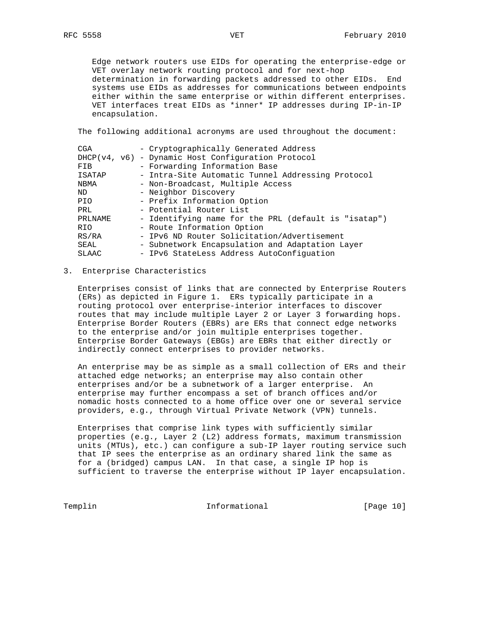Edge network routers use EIDs for operating the enterprise-edge or VET overlay network routing protocol and for next-hop determination in forwarding packets addressed to other EIDs. End systems use EIDs as addresses for communications between endpoints either within the same enterprise or within different enterprises. VET interfaces treat EIDs as \*inner\* IP addresses during IP-in-IP encapsulation.

The following additional acronyms are used throughout the document:

| CGA          |  | - Cryptographically Generated Address                |
|--------------|--|------------------------------------------------------|
|              |  | DHCP(v4, v6) - Dynamic Host Configuration Protocol   |
| FIB          |  | - Forwarding Information Base                        |
| ISATAP       |  | - Intra-Site Automatic Tunnel Addressing Protocol    |
| <b>NBMA</b>  |  | - Non-Broadcast, Multiple Access                     |
| ND.          |  | - Neighbor Discovery                                 |
| PIO.         |  | - Prefix Information Option                          |
| PRL          |  | - Potential Router List                              |
| PRLNAME      |  | - Identifying name for the PRL (default is "isatap") |
| <b>RIO</b>   |  | - Route Information Option                           |
| RS/RA        |  | - IPv6 ND Router Solicitation/Advertisement          |
| SEAL         |  | - Subnetwork Encapsulation and Adaptation Layer      |
| <b>SLAAC</b> |  | - IPv6 StateLess Address AutoConfiguation            |

# 3. Enterprise Characteristics

 Enterprises consist of links that are connected by Enterprise Routers (ERs) as depicted in Figure 1. ERs typically participate in a routing protocol over enterprise-interior interfaces to discover routes that may include multiple Layer 2 or Layer 3 forwarding hops. Enterprise Border Routers (EBRs) are ERs that connect edge networks to the enterprise and/or join multiple enterprises together. Enterprise Border Gateways (EBGs) are EBRs that either directly or indirectly connect enterprises to provider networks.

 An enterprise may be as simple as a small collection of ERs and their attached edge networks; an enterprise may also contain other enterprises and/or be a subnetwork of a larger enterprise. An enterprise may further encompass a set of branch offices and/or nomadic hosts connected to a home office over one or several service providers, e.g., through Virtual Private Network (VPN) tunnels.

 Enterprises that comprise link types with sufficiently similar properties (e.g., Layer 2 (L2) address formats, maximum transmission units (MTUs), etc.) can configure a sub-IP layer routing service such that IP sees the enterprise as an ordinary shared link the same as for a (bridged) campus LAN. In that case, a single IP hop is sufficient to traverse the enterprise without IP layer encapsulation.

Templin **Informational** Informational [Page 10]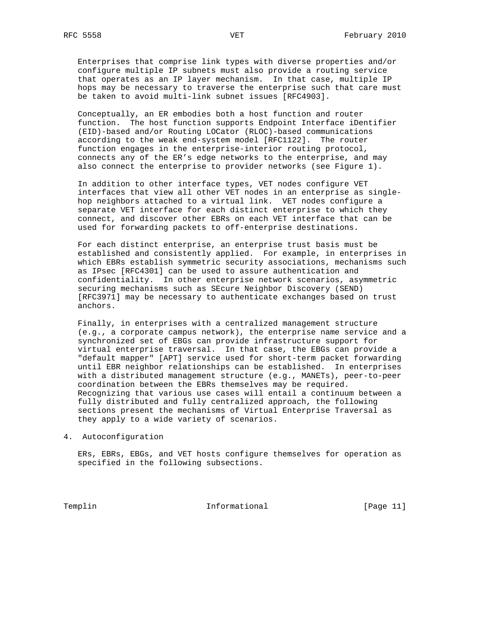Enterprises that comprise link types with diverse properties and/or configure multiple IP subnets must also provide a routing service that operates as an IP layer mechanism. In that case, multiple IP hops may be necessary to traverse the enterprise such that care must be taken to avoid multi-link subnet issues [RFC4903].

 Conceptually, an ER embodies both a host function and router function. The host function supports Endpoint Interface iDentifier (EID)-based and/or Routing LOCator (RLOC)-based communications according to the weak end-system model [RFC1122]. The router function engages in the enterprise-interior routing protocol, connects any of the ER's edge networks to the enterprise, and may also connect the enterprise to provider networks (see Figure 1).

 In addition to other interface types, VET nodes configure VET interfaces that view all other VET nodes in an enterprise as single hop neighbors attached to a virtual link. VET nodes configure a separate VET interface for each distinct enterprise to which they connect, and discover other EBRs on each VET interface that can be used for forwarding packets to off-enterprise destinations.

 For each distinct enterprise, an enterprise trust basis must be established and consistently applied. For example, in enterprises in which EBRs establish symmetric security associations, mechanisms such as IPsec [RFC4301] can be used to assure authentication and confidentiality. In other enterprise network scenarios, asymmetric securing mechanisms such as SEcure Neighbor Discovery (SEND) [RFC3971] may be necessary to authenticate exchanges based on trust anchors.

 Finally, in enterprises with a centralized management structure (e.g., a corporate campus network), the enterprise name service and a synchronized set of EBGs can provide infrastructure support for virtual enterprise traversal. In that case, the EBGs can provide a "default mapper" [APT] service used for short-term packet forwarding until EBR neighbor relationships can be established. In enterprises with a distributed management structure (e.g., MANETs), peer-to-peer coordination between the EBRs themselves may be required. Recognizing that various use cases will entail a continuum between a fully distributed and fully centralized approach, the following sections present the mechanisms of Virtual Enterprise Traversal as they apply to a wide variety of scenarios.

4. Autoconfiguration

 ERs, EBRs, EBGs, and VET hosts configure themselves for operation as specified in the following subsections.

Templin **Informational Informational** [Page 11]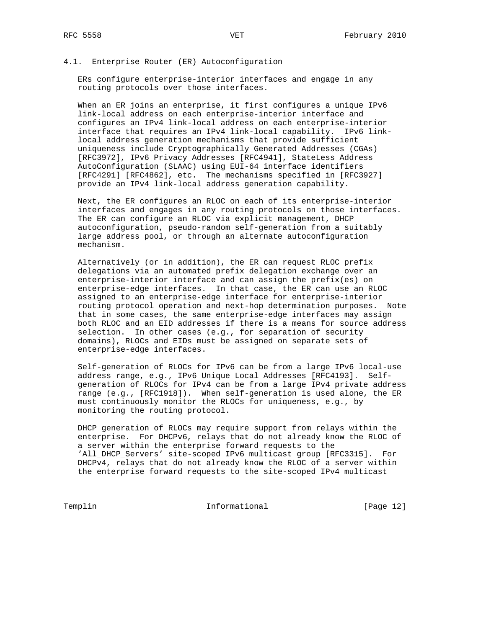## 4.1. Enterprise Router (ER) Autoconfiguration

 ERs configure enterprise-interior interfaces and engage in any routing protocols over those interfaces.

 When an ER joins an enterprise, it first configures a unique IPv6 link-local address on each enterprise-interior interface and configures an IPv4 link-local address on each enterprise-interior interface that requires an IPv4 link-local capability. IPv6 link local address generation mechanisms that provide sufficient uniqueness include Cryptographically Generated Addresses (CGAs) [RFC3972], IPv6 Privacy Addresses [RFC4941], StateLess Address AutoConfiguration (SLAAC) using EUI-64 interface identifiers [RFC4291] [RFC4862], etc. The mechanisms specified in [RFC3927] provide an IPv4 link-local address generation capability.

 Next, the ER configures an RLOC on each of its enterprise-interior interfaces and engages in any routing protocols on those interfaces. The ER can configure an RLOC via explicit management, DHCP autoconfiguration, pseudo-random self-generation from a suitably large address pool, or through an alternate autoconfiguration mechanism.

 Alternatively (or in addition), the ER can request RLOC prefix delegations via an automated prefix delegation exchange over an enterprise-interior interface and can assign the prefix(es) on enterprise-edge interfaces. In that case, the ER can use an RLOC assigned to an enterprise-edge interface for enterprise-interior routing protocol operation and next-hop determination purposes. Note that in some cases, the same enterprise-edge interfaces may assign both RLOC and an EID addresses if there is a means for source address selection. In other cases (e.g., for separation of security domains), RLOCs and EIDs must be assigned on separate sets of enterprise-edge interfaces.

 Self-generation of RLOCs for IPv6 can be from a large IPv6 local-use address range, e.g., IPv6 Unique Local Addresses [RFC4193]. Self generation of RLOCs for IPv4 can be from a large IPv4 private address range (e.g., [RFC1918]). When self-generation is used alone, the ER must continuously monitor the RLOCs for uniqueness, e.g., by monitoring the routing protocol.

 DHCP generation of RLOCs may require support from relays within the enterprise. For DHCPv6, relays that do not already know the RLOC of a server within the enterprise forward requests to the 'All\_DHCP\_Servers' site-scoped IPv6 multicast group [RFC3315]. For DHCPv4, relays that do not already know the RLOC of a server within the enterprise forward requests to the site-scoped IPv4 multicast

Templin **Informational Informational** [Page 12]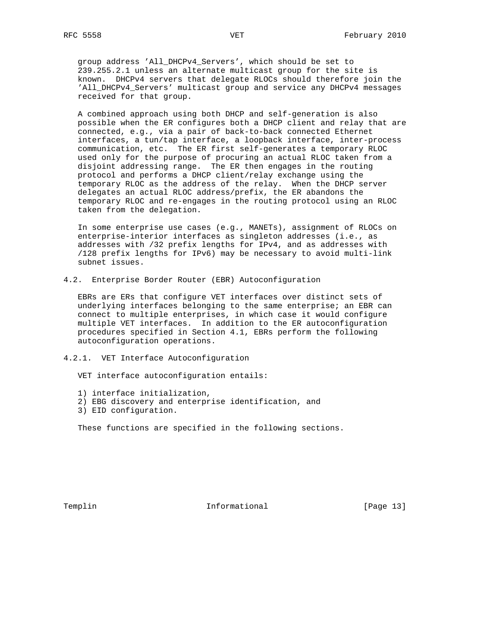group address 'All\_DHCPv4\_Servers', which should be set to 239.255.2.1 unless an alternate multicast group for the site is known. DHCPv4 servers that delegate RLOCs should therefore join the 'All\_DHCPv4\_Servers' multicast group and service any DHCPv4 messages received for that group.

 A combined approach using both DHCP and self-generation is also possible when the ER configures both a DHCP client and relay that are connected, e.g., via a pair of back-to-back connected Ethernet interfaces, a tun/tap interface, a loopback interface, inter-process communication, etc. The ER first self-generates a temporary RLOC used only for the purpose of procuring an actual RLOC taken from a disjoint addressing range. The ER then engages in the routing protocol and performs a DHCP client/relay exchange using the temporary RLOC as the address of the relay. When the DHCP server delegates an actual RLOC address/prefix, the ER abandons the temporary RLOC and re-engages in the routing protocol using an RLOC taken from the delegation.

 In some enterprise use cases (e.g., MANETs), assignment of RLOCs on enterprise-interior interfaces as singleton addresses (i.e., as addresses with /32 prefix lengths for IPv4, and as addresses with /128 prefix lengths for IPv6) may be necessary to avoid multi-link subnet issues.

4.2. Enterprise Border Router (EBR) Autoconfiguration

 EBRs are ERs that configure VET interfaces over distinct sets of underlying interfaces belonging to the same enterprise; an EBR can connect to multiple enterprises, in which case it would configure multiple VET interfaces. In addition to the ER autoconfiguration procedures specified in Section 4.1, EBRs perform the following autoconfiguration operations.

4.2.1. VET Interface Autoconfiguration

VET interface autoconfiguration entails:

- 1) interface initialization,
- 2) EBG discovery and enterprise identification, and
- 3) EID configuration.

These functions are specified in the following sections.

Templin 1nformational [Page 13]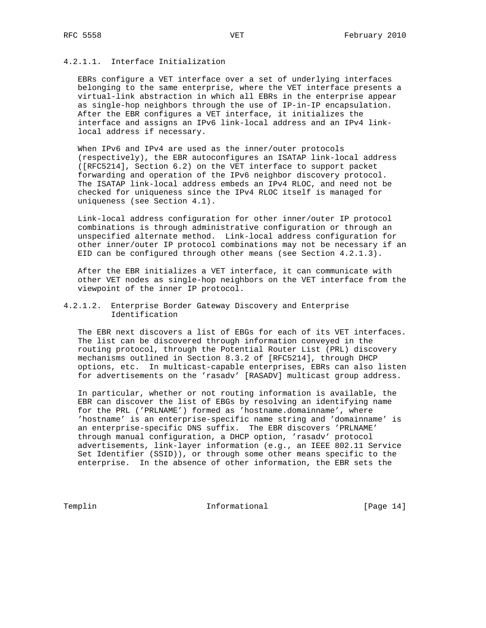# 4.2.1.1. Interface Initialization

 EBRs configure a VET interface over a set of underlying interfaces belonging to the same enterprise, where the VET interface presents a virtual-link abstraction in which all EBRs in the enterprise appear as single-hop neighbors through the use of IP-in-IP encapsulation. After the EBR configures a VET interface, it initializes the interface and assigns an IPv6 link-local address and an IPv4 link local address if necessary.

 When IPv6 and IPv4 are used as the inner/outer protocols (respectively), the EBR autoconfigures an ISATAP link-local address ([RFC5214], Section 6.2) on the VET interface to support packet forwarding and operation of the IPv6 neighbor discovery protocol. The ISATAP link-local address embeds an IPv4 RLOC, and need not be checked for uniqueness since the IPv4 RLOC itself is managed for uniqueness (see Section 4.1).

 Link-local address configuration for other inner/outer IP protocol combinations is through administrative configuration or through an unspecified alternate method. Link-local address configuration for other inner/outer IP protocol combinations may not be necessary if an EID can be configured through other means (see Section 4.2.1.3).

 After the EBR initializes a VET interface, it can communicate with other VET nodes as single-hop neighbors on the VET interface from the viewpoint of the inner IP protocol.

# 4.2.1.2. Enterprise Border Gateway Discovery and Enterprise Identification

 The EBR next discovers a list of EBGs for each of its VET interfaces. The list can be discovered through information conveyed in the routing protocol, through the Potential Router List (PRL) discovery mechanisms outlined in Section 8.3.2 of [RFC5214], through DHCP options, etc. In multicast-capable enterprises, EBRs can also listen for advertisements on the 'rasadv' [RASADV] multicast group address.

 In particular, whether or not routing information is available, the EBR can discover the list of EBGs by resolving an identifying name for the PRL ('PRLNAME') formed as 'hostname.domainname', where 'hostname' is an enterprise-specific name string and 'domainname' is an enterprise-specific DNS suffix. The EBR discovers 'PRLNAME' through manual configuration, a DHCP option, 'rasadv' protocol advertisements, link-layer information (e.g., an IEEE 802.11 Service Set Identifier (SSID)), or through some other means specific to the enterprise. In the absence of other information, the EBR sets the

Templin **Informational Informational** [Page 14]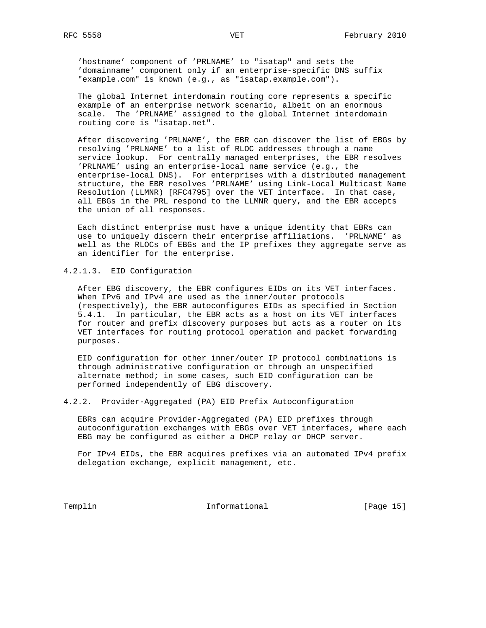'hostname' component of 'PRLNAME' to "isatap" and sets the 'domainname' component only if an enterprise-specific DNS suffix "example.com" is known (e.g., as "isatap.example.com").

 The global Internet interdomain routing core represents a specific example of an enterprise network scenario, albeit on an enormous scale. The 'PRLNAME' assigned to the global Internet interdomain routing core is "isatap.net".

 After discovering 'PRLNAME', the EBR can discover the list of EBGs by resolving 'PRLNAME' to a list of RLOC addresses through a name service lookup. For centrally managed enterprises, the EBR resolves 'PRLNAME' using an enterprise-local name service (e.g., the enterprise-local DNS). For enterprises with a distributed management structure, the EBR resolves 'PRLNAME' using Link-Local Multicast Name Resolution (LLMNR) [RFC4795] over the VET interface. In that case, all EBGs in the PRL respond to the LLMNR query, and the EBR accepts the union of all responses.

 Each distinct enterprise must have a unique identity that EBRs can use to uniquely discern their enterprise affiliations. 'PRLNAME' as well as the RLOCs of EBGs and the IP prefixes they aggregate serve as an identifier for the enterprise.

# 4.2.1.3. EID Configuration

 After EBG discovery, the EBR configures EIDs on its VET interfaces. When IPv6 and IPv4 are used as the inner/outer protocols (respectively), the EBR autoconfigures EIDs as specified in Section 5.4.1. In particular, the EBR acts as a host on its VET interfaces for router and prefix discovery purposes but acts as a router on its VET interfaces for routing protocol operation and packet forwarding purposes.

 EID configuration for other inner/outer IP protocol combinations is through administrative configuration or through an unspecified alternate method; in some cases, such EID configuration can be performed independently of EBG discovery.

4.2.2. Provider-Aggregated (PA) EID Prefix Autoconfiguration

 EBRs can acquire Provider-Aggregated (PA) EID prefixes through autoconfiguration exchanges with EBGs over VET interfaces, where each EBG may be configured as either a DHCP relay or DHCP server.

 For IPv4 EIDs, the EBR acquires prefixes via an automated IPv4 prefix delegation exchange, explicit management, etc.

Templin **Informational** Informational [Page 15]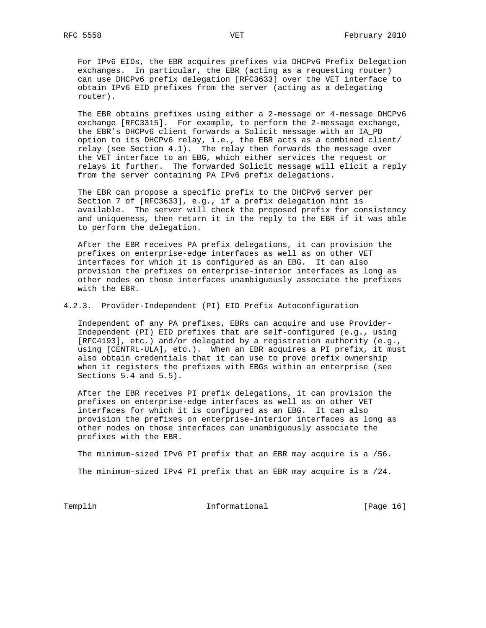For IPv6 EIDs, the EBR acquires prefixes via DHCPv6 Prefix Delegation exchanges. In particular, the EBR (acting as a requesting router) can use DHCPv6 prefix delegation [RFC3633] over the VET interface to obtain IPv6 EID prefixes from the server (acting as a delegating router).

 The EBR obtains prefixes using either a 2-message or 4-message DHCPv6 exchange [RFC3315]. For example, to perform the 2-message exchange, the EBR's DHCPv6 client forwards a Solicit message with an IA\_PD option to its DHCPv6 relay, i.e., the EBR acts as a combined client/ relay (see Section 4.1). The relay then forwards the message over the VET interface to an EBG, which either services the request or relays it further. The forwarded Solicit message will elicit a reply from the server containing PA IPv6 prefix delegations.

 The EBR can propose a specific prefix to the DHCPv6 server per Section 7 of [RFC3633], e.g., if a prefix delegation hint is available. The server will check the proposed prefix for consistency and uniqueness, then return it in the reply to the EBR if it was able to perform the delegation.

 After the EBR receives PA prefix delegations, it can provision the prefixes on enterprise-edge interfaces as well as on other VET interfaces for which it is configured as an EBG. It can also provision the prefixes on enterprise-interior interfaces as long as other nodes on those interfaces unambiguously associate the prefixes with the EBR.

4.2.3. Provider-Independent (PI) EID Prefix Autoconfiguration

 Independent of any PA prefixes, EBRs can acquire and use Provider- Independent (PI) EID prefixes that are self-configured (e.g., using [RFC4193], etc.) and/or delegated by a registration authority (e.g., using [CENTRL-ULA], etc.). When an EBR acquires a PI prefix, it must also obtain credentials that it can use to prove prefix ownership when it registers the prefixes with EBGs within an enterprise (see Sections 5.4 and 5.5).

 After the EBR receives PI prefix delegations, it can provision the prefixes on enterprise-edge interfaces as well as on other VET interfaces for which it is configured as an EBG. It can also provision the prefixes on enterprise-interior interfaces as long as other nodes on those interfaces can unambiguously associate the prefixes with the EBR.

 The minimum-sized IPv6 PI prefix that an EBR may acquire is a /56. The minimum-sized IPv4 PI prefix that an EBR may acquire is a /24.

Templin **Informational** Informational [Page 16]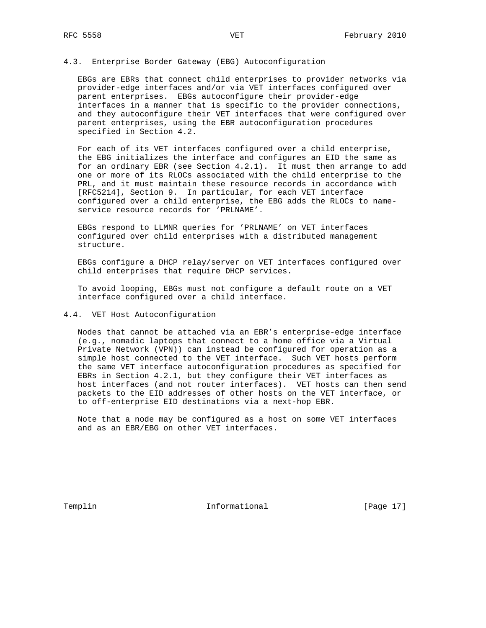# 4.3. Enterprise Border Gateway (EBG) Autoconfiguration

 EBGs are EBRs that connect child enterprises to provider networks via provider-edge interfaces and/or via VET interfaces configured over parent enterprises. EBGs autoconfigure their provider-edge interfaces in a manner that is specific to the provider connections, and they autoconfigure their VET interfaces that were configured over parent enterprises, using the EBR autoconfiguration procedures specified in Section 4.2.

 For each of its VET interfaces configured over a child enterprise, the EBG initializes the interface and configures an EID the same as for an ordinary EBR (see Section 4.2.1). It must then arrange to add one or more of its RLOCs associated with the child enterprise to the PRL, and it must maintain these resource records in accordance with [RFC5214], Section 9. In particular, for each VET interface configured over a child enterprise, the EBG adds the RLOCs to name service resource records for 'PRLNAME'.

 EBGs respond to LLMNR queries for 'PRLNAME' on VET interfaces configured over child enterprises with a distributed management structure.

 EBGs configure a DHCP relay/server on VET interfaces configured over child enterprises that require DHCP services.

 To avoid looping, EBGs must not configure a default route on a VET interface configured over a child interface.

# 4.4. VET Host Autoconfiguration

 Nodes that cannot be attached via an EBR's enterprise-edge interface (e.g., nomadic laptops that connect to a home office via a Virtual Private Network (VPN)) can instead be configured for operation as a simple host connected to the VET interface. Such VET hosts perform the same VET interface autoconfiguration procedures as specified for EBRs in Section 4.2.1, but they configure their VET interfaces as host interfaces (and not router interfaces). VET hosts can then send packets to the EID addresses of other hosts on the VET interface, or to off-enterprise EID destinations via a next-hop EBR.

 Note that a node may be configured as a host on some VET interfaces and as an EBR/EBG on other VET interfaces.

Templin 1nformational [Page 17]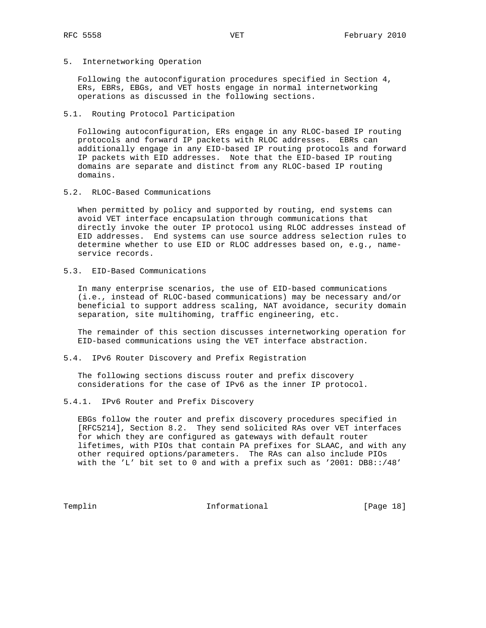5. Internetworking Operation

 Following the autoconfiguration procedures specified in Section 4, ERs, EBRs, EBGs, and VET hosts engage in normal internetworking operations as discussed in the following sections.

5.1. Routing Protocol Participation

 Following autoconfiguration, ERs engage in any RLOC-based IP routing protocols and forward IP packets with RLOC addresses. EBRs can additionally engage in any EID-based IP routing protocols and forward IP packets with EID addresses. Note that the EID-based IP routing domains are separate and distinct from any RLOC-based IP routing domains.

5.2. RLOC-Based Communications

 When permitted by policy and supported by routing, end systems can avoid VET interface encapsulation through communications that directly invoke the outer IP protocol using RLOC addresses instead of EID addresses. End systems can use source address selection rules to determine whether to use EID or RLOC addresses based on, e.g., name service records.

5.3. EID-Based Communications

 In many enterprise scenarios, the use of EID-based communications (i.e., instead of RLOC-based communications) may be necessary and/or beneficial to support address scaling, NAT avoidance, security domain separation, site multihoming, traffic engineering, etc.

 The remainder of this section discusses internetworking operation for EID-based communications using the VET interface abstraction.

5.4. IPv6 Router Discovery and Prefix Registration

 The following sections discuss router and prefix discovery considerations for the case of IPv6 as the inner IP protocol.

5.4.1. IPv6 Router and Prefix Discovery

 EBGs follow the router and prefix discovery procedures specified in [RFC5214], Section 8.2. They send solicited RAs over VET interfaces for which they are configured as gateways with default router lifetimes, with PIOs that contain PA prefixes for SLAAC, and with any other required options/parameters. The RAs can also include PIOs with the 'L' bit set to 0 and with a prefix such as '2001: DB8::/48'

Templin **Informational Informational** [Page 18]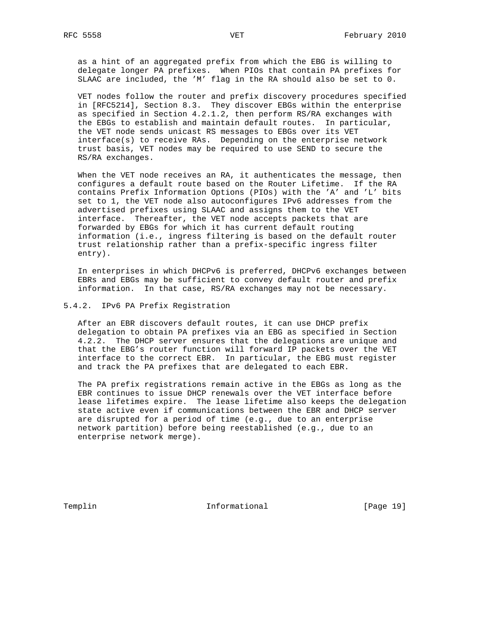as a hint of an aggregated prefix from which the EBG is willing to delegate longer PA prefixes. When PIOs that contain PA prefixes for SLAAC are included, the 'M' flag in the RA should also be set to 0.

 VET nodes follow the router and prefix discovery procedures specified in [RFC5214], Section 8.3. They discover EBGs within the enterprise as specified in Section 4.2.1.2, then perform RS/RA exchanges with the EBGs to establish and maintain default routes. In particular, the VET node sends unicast RS messages to EBGs over its VET interface(s) to receive RAs. Depending on the enterprise network trust basis, VET nodes may be required to use SEND to secure the RS/RA exchanges.

 When the VET node receives an RA, it authenticates the message, then configures a default route based on the Router Lifetime. If the RA contains Prefix Information Options (PIOs) with the 'A' and 'L' bits set to 1, the VET node also autoconfigures IPv6 addresses from the advertised prefixes using SLAAC and assigns them to the VET interface. Thereafter, the VET node accepts packets that are forwarded by EBGs for which it has current default routing information (i.e., ingress filtering is based on the default router trust relationship rather than a prefix-specific ingress filter entry).

 In enterprises in which DHCPv6 is preferred, DHCPv6 exchanges between EBRs and EBGs may be sufficient to convey default router and prefix information. In that case, RS/RA exchanges may not be necessary.

### 5.4.2. IPv6 PA Prefix Registration

 After an EBR discovers default routes, it can use DHCP prefix delegation to obtain PA prefixes via an EBG as specified in Section 4.2.2. The DHCP server ensures that the delegations are unique and that the EBG's router function will forward IP packets over the VET interface to the correct EBR. In particular, the EBG must register and track the PA prefixes that are delegated to each EBR.

 The PA prefix registrations remain active in the EBGs as long as the EBR continues to issue DHCP renewals over the VET interface before lease lifetimes expire. The lease lifetime also keeps the delegation state active even if communications between the EBR and DHCP server are disrupted for a period of time (e.g., due to an enterprise network partition) before being reestablished (e.g., due to an enterprise network merge).

Templin 1nformational [Page 19]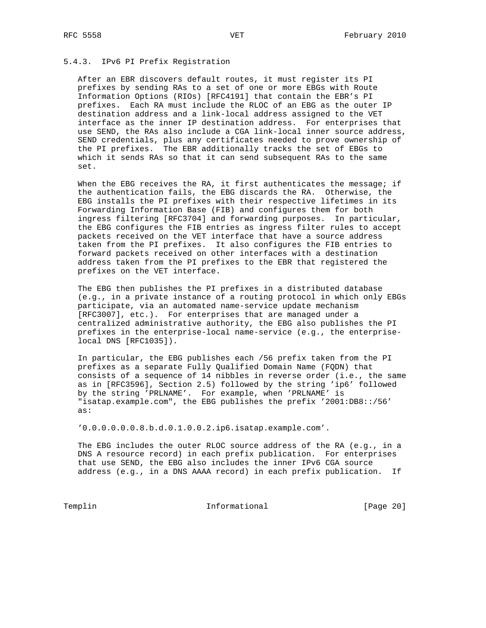# 5.4.3. IPv6 PI Prefix Registration

 After an EBR discovers default routes, it must register its PI prefixes by sending RAs to a set of one or more EBGs with Route Information Options (RIOs) [RFC4191] that contain the EBR's PI prefixes. Each RA must include the RLOC of an EBG as the outer IP destination address and a link-local address assigned to the VET interface as the inner IP destination address. For enterprises that use SEND, the RAs also include a CGA link-local inner source address, SEND credentials, plus any certificates needed to prove ownership of the PI prefixes. The EBR additionally tracks the set of EBGs to which it sends RAs so that it can send subsequent RAs to the same set.

When the EBG receives the RA, it first authenticates the message; if the authentication fails, the EBG discards the RA. Otherwise, the EBG installs the PI prefixes with their respective lifetimes in its Forwarding Information Base (FIB) and configures them for both ingress filtering [RFC3704] and forwarding purposes. In particular, the EBG configures the FIB entries as ingress filter rules to accept packets received on the VET interface that have a source address taken from the PI prefixes. It also configures the FIB entries to forward packets received on other interfaces with a destination address taken from the PI prefixes to the EBR that registered the prefixes on the VET interface.

 The EBG then publishes the PI prefixes in a distributed database (e.g., in a private instance of a routing protocol in which only EBGs participate, via an automated name-service update mechanism [RFC3007], etc.). For enterprises that are managed under a centralized administrative authority, the EBG also publishes the PI prefixes in the enterprise-local name-service (e.g., the enterprise local DNS [RFC1035]).

 In particular, the EBG publishes each /56 prefix taken from the PI prefixes as a separate Fully Qualified Domain Name (FQDN) that consists of a sequence of 14 nibbles in reverse order (i.e., the same as in [RFC3596], Section 2.5) followed by the string 'ip6' followed by the string 'PRLNAME'. For example, when 'PRLNAME' is "isatap.example.com", the EBG publishes the prefix '2001:DB8::/56' as:

'0.0.0.0.0.0.8.b.d.0.1.0.0.2.ip6.isatap.example.com'.

 The EBG includes the outer RLOC source address of the RA (e.g., in a DNS A resource record) in each prefix publication. For enterprises that use SEND, the EBG also includes the inner IPv6 CGA source address (e.g., in a DNS AAAA record) in each prefix publication. If

Templin **Informational** Informational [Page 20]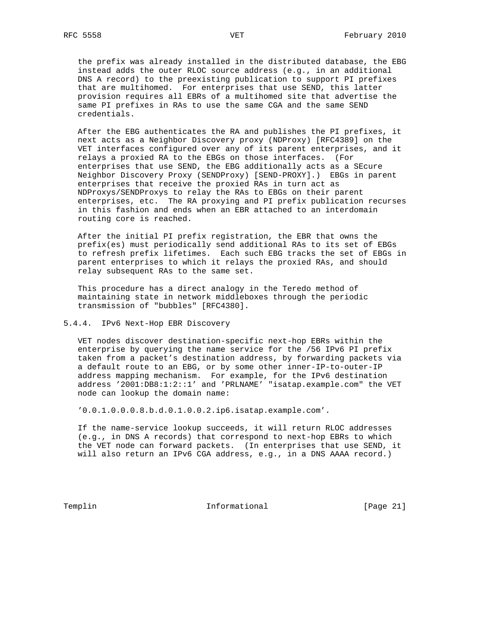the prefix was already installed in the distributed database, the EBG instead adds the outer RLOC source address (e.g., in an additional DNS A record) to the preexisting publication to support PI prefixes that are multihomed. For enterprises that use SEND, this latter provision requires all EBRs of a multihomed site that advertise the same PI prefixes in RAs to use the same CGA and the same SEND credentials.

 After the EBG authenticates the RA and publishes the PI prefixes, it next acts as a Neighbor Discovery proxy (NDProxy) [RFC4389] on the VET interfaces configured over any of its parent enterprises, and it relays a proxied RA to the EBGs on those interfaces. (For enterprises that use SEND, the EBG additionally acts as a SEcure Neighbor Discovery Proxy (SENDProxy) [SEND-PROXY].) EBGs in parent enterprises that receive the proxied RAs in turn act as NDProxys/SENDProxys to relay the RAs to EBGs on their parent enterprises, etc. The RA proxying and PI prefix publication recurses in this fashion and ends when an EBR attached to an interdomain routing core is reached.

 After the initial PI prefix registration, the EBR that owns the prefix(es) must periodically send additional RAs to its set of EBGs to refresh prefix lifetimes. Each such EBG tracks the set of EBGs in parent enterprises to which it relays the proxied RAs, and should relay subsequent RAs to the same set.

 This procedure has a direct analogy in the Teredo method of maintaining state in network middleboxes through the periodic transmission of "bubbles" [RFC4380].

# 5.4.4. IPv6 Next-Hop EBR Discovery

 VET nodes discover destination-specific next-hop EBRs within the enterprise by querying the name service for the /56 IPv6 PI prefix taken from a packet's destination address, by forwarding packets via a default route to an EBG, or by some other inner-IP-to-outer-IP address mapping mechanism. For example, for the IPv6 destination address '2001:DB8:1:2::1' and 'PRLNAME' "isatap.example.com" the VET node can lookup the domain name:

'0.0.1.0.0.0.8.b.d.0.1.0.0.2.ip6.isatap.example.com'.

 If the name-service lookup succeeds, it will return RLOC addresses (e.g., in DNS A records) that correspond to next-hop EBRs to which the VET node can forward packets. (In enterprises that use SEND, it will also return an IPv6 CGA address, e.g., in a DNS AAAA record.)

Templin **Informational Informational** [Page 21]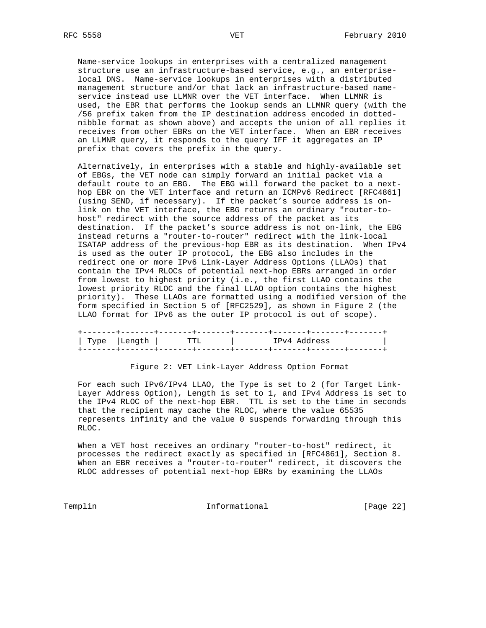Name-service lookups in enterprises with a centralized management structure use an infrastructure-based service, e.g., an enterprise local DNS. Name-service lookups in enterprises with a distributed management structure and/or that lack an infrastructure-based name service instead use LLMNR over the VET interface. When LLMNR is used, the EBR that performs the lookup sends an LLMNR query (with the /56 prefix taken from the IP destination address encoded in dotted nibble format as shown above) and accepts the union of all replies it receives from other EBRs on the VET interface. When an EBR receives an LLMNR query, it responds to the query IFF it aggregates an IP prefix that covers the prefix in the query.

 Alternatively, in enterprises with a stable and highly-available set of EBGs, the VET node can simply forward an initial packet via a default route to an EBG. The EBG will forward the packet to a next hop EBR on the VET interface and return an ICMPv6 Redirect [RFC4861] (using SEND, if necessary). If the packet's source address is on link on the VET interface, the EBG returns an ordinary "router-to host" redirect with the source address of the packet as its destination. If the packet's source address is not on-link, the EBG instead returns a "router-to-router" redirect with the link-local ISATAP address of the previous-hop EBR as its destination. When IPv4 is used as the outer IP protocol, the EBG also includes in the redirect one or more IPv6 Link-Layer Address Options (LLAOs) that contain the IPv4 RLOCs of potential next-hop EBRs arranged in order from lowest to highest priority (i.e., the first LLAO contains the lowest priority RLOC and the final LLAO option contains the highest priority). These LLAOs are formatted using a modified version of the form specified in Section 5 of [RFC2529], as shown in Figure 2 (the LLAO format for IPv6 as the outer IP protocol is out of scope).

|  | Type   Length   TTL | TPv4 Address |  |
|--|---------------------|--------------|--|
|  |                     |              |  |

# Figure 2: VET Link-Layer Address Option Format

 For each such IPv6/IPv4 LLAO, the Type is set to 2 (for Target Link- Layer Address Option), Length is set to 1, and IPv4 Address is set to the IPv4 RLOC of the next-hop EBR. TTL is set to the time in seconds that the recipient may cache the RLOC, where the value 65535 represents infinity and the value 0 suspends forwarding through this RLOC.

 When a VET host receives an ordinary "router-to-host" redirect, it processes the redirect exactly as specified in [RFC4861], Section 8. When an EBR receives a "router-to-router" redirect, it discovers the RLOC addresses of potential next-hop EBRs by examining the LLAOs

Templin 1nformational [Page 22]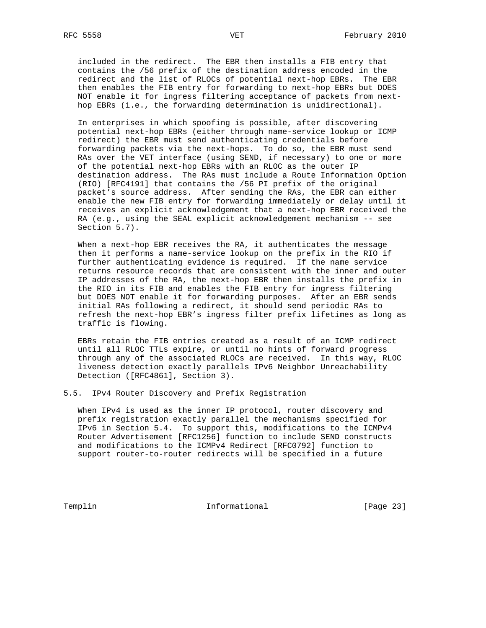included in the redirect. The EBR then installs a FIB entry that contains the /56 prefix of the destination address encoded in the redirect and the list of RLOCs of potential next-hop EBRs. The EBR then enables the FIB entry for forwarding to next-hop EBRs but DOES NOT enable it for ingress filtering acceptance of packets from next hop EBRs (i.e., the forwarding determination is unidirectional).

 In enterprises in which spoofing is possible, after discovering potential next-hop EBRs (either through name-service lookup or ICMP redirect) the EBR must send authenticating credentials before forwarding packets via the next-hops. To do so, the EBR must send RAs over the VET interface (using SEND, if necessary) to one or more of the potential next-hop EBRs with an RLOC as the outer IP destination address. The RAs must include a Route Information Option (RIO) [RFC4191] that contains the /56 PI prefix of the original packet's source address. After sending the RAs, the EBR can either enable the new FIB entry for forwarding immediately or delay until it receives an explicit acknowledgement that a next-hop EBR received the RA (e.g., using the SEAL explicit acknowledgement mechanism -- see Section 5.7).

 When a next-hop EBR receives the RA, it authenticates the message then it performs a name-service lookup on the prefix in the RIO if further authenticating evidence is required. If the name service returns resource records that are consistent with the inner and outer IP addresses of the RA, the next-hop EBR then installs the prefix in the RIO in its FIB and enables the FIB entry for ingress filtering but DOES NOT enable it for forwarding purposes. After an EBR sends initial RAs following a redirect, it should send periodic RAs to refresh the next-hop EBR's ingress filter prefix lifetimes as long as traffic is flowing.

 EBRs retain the FIB entries created as a result of an ICMP redirect until all RLOC TTLs expire, or until no hints of forward progress through any of the associated RLOCs are received. In this way, RLOC liveness detection exactly parallels IPv6 Neighbor Unreachability Detection ([RFC4861], Section 3).

5.5. IPv4 Router Discovery and Prefix Registration

 When IPv4 is used as the inner IP protocol, router discovery and prefix registration exactly parallel the mechanisms specified for IPv6 in Section 5.4. To support this, modifications to the ICMPv4 Router Advertisement [RFC1256] function to include SEND constructs and modifications to the ICMPv4 Redirect [RFC0792] function to support router-to-router redirects will be specified in a future

Templin **Informational** Informational [Page 23]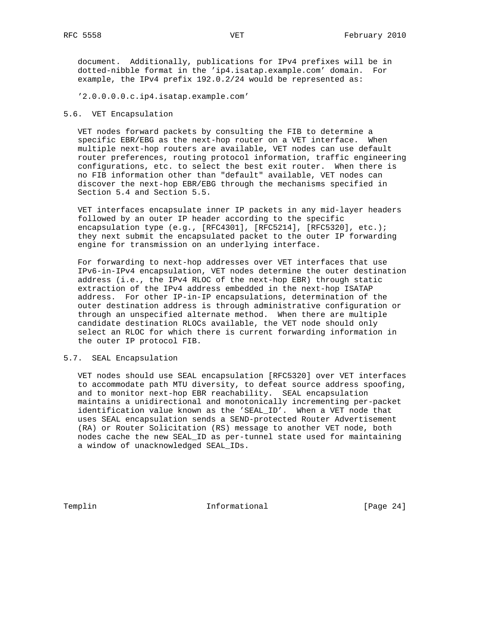document. Additionally, publications for IPv4 prefixes will be in dotted-nibble format in the 'ip4.isatap.example.com' domain. For example, the IPv4 prefix 192.0.2/24 would be represented as:

'2.0.0.0.0.c.ip4.isatap.example.com'

# 5.6. VET Encapsulation

 VET nodes forward packets by consulting the FIB to determine a specific EBR/EBG as the next-hop router on a VET interface. When multiple next-hop routers are available, VET nodes can use default router preferences, routing protocol information, traffic engineering configurations, etc. to select the best exit router. When there is no FIB information other than "default" available, VET nodes can discover the next-hop EBR/EBG through the mechanisms specified in Section 5.4 and Section 5.5.

 VET interfaces encapsulate inner IP packets in any mid-layer headers followed by an outer IP header according to the specific encapsulation type (e.g., [RFC4301], [RFC5214], [RFC5320], etc.); they next submit the encapsulated packet to the outer IP forwarding engine for transmission on an underlying interface.

 For forwarding to next-hop addresses over VET interfaces that use IPv6-in-IPv4 encapsulation, VET nodes determine the outer destination address (i.e., the IPv4 RLOC of the next-hop EBR) through static extraction of the IPv4 address embedded in the next-hop ISATAP address. For other IP-in-IP encapsulations, determination of the outer destination address is through administrative configuration or through an unspecified alternate method. When there are multiple candidate destination RLOCs available, the VET node should only select an RLOC for which there is current forwarding information in the outer IP protocol FIB.

# 5.7. SEAL Encapsulation

 VET nodes should use SEAL encapsulation [RFC5320] over VET interfaces to accommodate path MTU diversity, to defeat source address spoofing, and to monitor next-hop EBR reachability. SEAL encapsulation maintains a unidirectional and monotonically incrementing per-packet identification value known as the 'SEAL\_ID'. When a VET node that uses SEAL encapsulation sends a SEND-protected Router Advertisement (RA) or Router Solicitation (RS) message to another VET node, both nodes cache the new SEAL\_ID as per-tunnel state used for maintaining a window of unacknowledged SEAL\_IDs.

Templin **Informational Informational** [Page 24]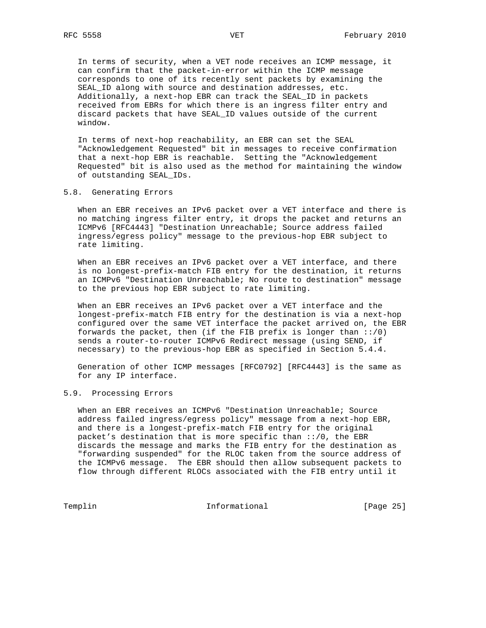In terms of security, when a VET node receives an ICMP message, it can confirm that the packet-in-error within the ICMP message corresponds to one of its recently sent packets by examining the SEAL\_ID along with source and destination addresses, etc. Additionally, a next-hop EBR can track the SEAL\_ID in packets received from EBRs for which there is an ingress filter entry and discard packets that have SEAL\_ID values outside of the current window.

 In terms of next-hop reachability, an EBR can set the SEAL "Acknowledgement Requested" bit in messages to receive confirmation that a next-hop EBR is reachable. Setting the "Acknowledgement Requested" bit is also used as the method for maintaining the window of outstanding SEAL\_IDs.

### 5.8. Generating Errors

 When an EBR receives an IPv6 packet over a VET interface and there is no matching ingress filter entry, it drops the packet and returns an ICMPv6 [RFC4443] "Destination Unreachable; Source address failed ingress/egress policy" message to the previous-hop EBR subject to rate limiting.

 When an EBR receives an IPv6 packet over a VET interface, and there is no longest-prefix-match FIB entry for the destination, it returns an ICMPv6 "Destination Unreachable; No route to destination" message to the previous hop EBR subject to rate limiting.

 When an EBR receives an IPv6 packet over a VET interface and the longest-prefix-match FIB entry for the destination is via a next-hop configured over the same VET interface the packet arrived on, the EBR forwards the packet, then (if the FIB prefix is longer than ::/0) sends a router-to-router ICMPv6 Redirect message (using SEND, if necessary) to the previous-hop EBR as specified in Section 5.4.4.

 Generation of other ICMP messages [RFC0792] [RFC4443] is the same as for any IP interface.

### 5.9. Processing Errors

 When an EBR receives an ICMPv6 "Destination Unreachable; Source address failed ingress/egress policy" message from a next-hop EBR, and there is a longest-prefix-match FIB entry for the original packet's destination that is more specific than ::/0, the EBR discards the message and marks the FIB entry for the destination as "forwarding suspended" for the RLOC taken from the source address of the ICMPv6 message. The EBR should then allow subsequent packets to flow through different RLOCs associated with the FIB entry until it

Templin **Informational** Informational [Page 25]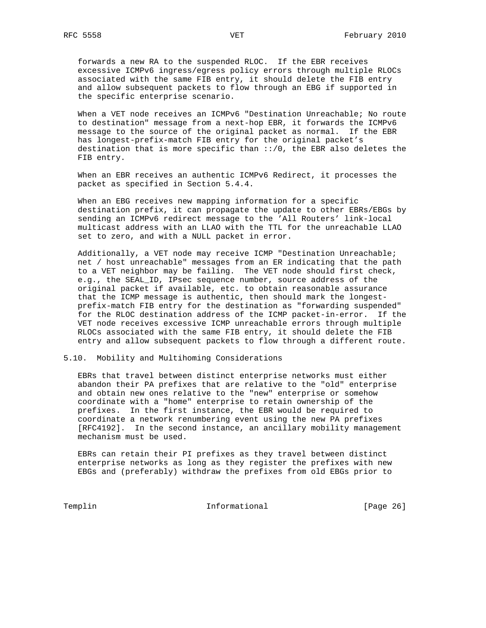forwards a new RA to the suspended RLOC. If the EBR receives excessive ICMPv6 ingress/egress policy errors through multiple RLOCs associated with the same FIB entry, it should delete the FIB entry and allow subsequent packets to flow through an EBG if supported in the specific enterprise scenario.

 When a VET node receives an ICMPv6 "Destination Unreachable; No route to destination" message from a next-hop EBR, it forwards the ICMPv6 message to the source of the original packet as normal. If the EBR has longest-prefix-match FIB entry for the original packet's destination that is more specific than ::/0, the EBR also deletes the FIB entry.

 When an EBR receives an authentic ICMPv6 Redirect, it processes the packet as specified in Section 5.4.4.

 When an EBG receives new mapping information for a specific destination prefix, it can propagate the update to other EBRs/EBGs by sending an ICMPv6 redirect message to the 'All Routers' link-local multicast address with an LLAO with the TTL for the unreachable LLAO set to zero, and with a NULL packet in error.

 Additionally, a VET node may receive ICMP "Destination Unreachable; net / host unreachable" messages from an ER indicating that the path to a VET neighbor may be failing. The VET node should first check, e.g., the SEAL\_ID, IPsec sequence number, source address of the original packet if available, etc. to obtain reasonable assurance that the ICMP message is authentic, then should mark the longest prefix-match FIB entry for the destination as "forwarding suspended" for the RLOC destination address of the ICMP packet-in-error. If the VET node receives excessive ICMP unreachable errors through multiple RLOCs associated with the same FIB entry, it should delete the FIB entry and allow subsequent packets to flow through a different route.

5.10. Mobility and Multihoming Considerations

 EBRs that travel between distinct enterprise networks must either abandon their PA prefixes that are relative to the "old" enterprise and obtain new ones relative to the "new" enterprise or somehow coordinate with a "home" enterprise to retain ownership of the prefixes. In the first instance, the EBR would be required to coordinate a network renumbering event using the new PA prefixes [RFC4192]. In the second instance, an ancillary mobility management mechanism must be used.

 EBRs can retain their PI prefixes as they travel between distinct enterprise networks as long as they register the prefixes with new EBGs and (preferably) withdraw the prefixes from old EBGs prior to

Templin **Informational** Informational [Page 26]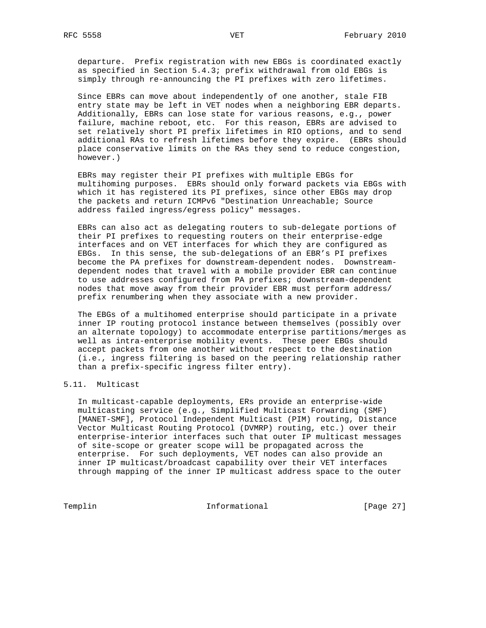departure. Prefix registration with new EBGs is coordinated exactly as specified in Section 5.4.3; prefix withdrawal from old EBGs is simply through re-announcing the PI prefixes with zero lifetimes.

 Since EBRs can move about independently of one another, stale FIB entry state may be left in VET nodes when a neighboring EBR departs. Additionally, EBRs can lose state for various reasons, e.g., power failure, machine reboot, etc. For this reason, EBRs are advised to set relatively short PI prefix lifetimes in RIO options, and to send additional RAs to refresh lifetimes before they expire. (EBRs should place conservative limits on the RAs they send to reduce congestion, however.)

 EBRs may register their PI prefixes with multiple EBGs for multihoming purposes. EBRs should only forward packets via EBGs with which it has registered its PI prefixes, since other EBGs may drop the packets and return ICMPv6 "Destination Unreachable; Source address failed ingress/egress policy" messages.

 EBRs can also act as delegating routers to sub-delegate portions of their PI prefixes to requesting routers on their enterprise-edge interfaces and on VET interfaces for which they are configured as EBGs. In this sense, the sub-delegations of an EBR's PI prefixes become the PA prefixes for downstream-dependent nodes. Downstream dependent nodes that travel with a mobile provider EBR can continue to use addresses configured from PA prefixes; downstream-dependent nodes that move away from their provider EBR must perform address/ prefix renumbering when they associate with a new provider.

 The EBGs of a multihomed enterprise should participate in a private inner IP routing protocol instance between themselves (possibly over an alternate topology) to accommodate enterprise partitions/merges as well as intra-enterprise mobility events. These peer EBGs should accept packets from one another without respect to the destination (i.e., ingress filtering is based on the peering relationship rather than a prefix-specific ingress filter entry).

# 5.11. Multicast

 In multicast-capable deployments, ERs provide an enterprise-wide multicasting service (e.g., Simplified Multicast Forwarding (SMF) [MANET-SMF], Protocol Independent Multicast (PIM) routing, Distance Vector Multicast Routing Protocol (DVMRP) routing, etc.) over their enterprise-interior interfaces such that outer IP multicast messages of site-scope or greater scope will be propagated across the enterprise. For such deployments, VET nodes can also provide an inner IP multicast/broadcast capability over their VET interfaces through mapping of the inner IP multicast address space to the outer

Templin **Informational** Informational [Page 27]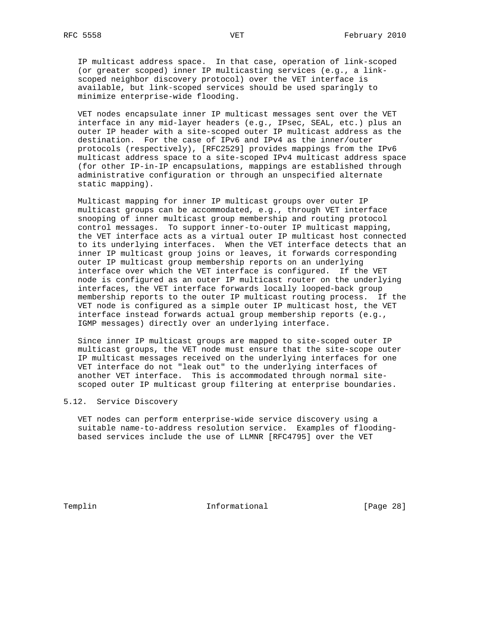IP multicast address space. In that case, operation of link-scoped (or greater scoped) inner IP multicasting services (e.g., a link scoped neighbor discovery protocol) over the VET interface is available, but link-scoped services should be used sparingly to minimize enterprise-wide flooding.

 VET nodes encapsulate inner IP multicast messages sent over the VET interface in any mid-layer headers (e.g., IPsec, SEAL, etc.) plus an outer IP header with a site-scoped outer IP multicast address as the destination. For the case of IPv6 and IPv4 as the inner/outer protocols (respectively), [RFC2529] provides mappings from the IPv6 multicast address space to a site-scoped IPv4 multicast address space (for other IP-in-IP encapsulations, mappings are established through administrative configuration or through an unspecified alternate static mapping).

 Multicast mapping for inner IP multicast groups over outer IP multicast groups can be accommodated, e.g., through VET interface snooping of inner multicast group membership and routing protocol control messages. To support inner-to-outer IP multicast mapping, the VET interface acts as a virtual outer IP multicast host connected to its underlying interfaces. When the VET interface detects that an inner IP multicast group joins or leaves, it forwards corresponding outer IP multicast group membership reports on an underlying interface over which the VET interface is configured. If the VET node is configured as an outer IP multicast router on the underlying interfaces, the VET interface forwards locally looped-back group membership reports to the outer IP multicast routing process. If the VET node is configured as a simple outer IP multicast host, the VET interface instead forwards actual group membership reports (e.g., IGMP messages) directly over an underlying interface.

 Since inner IP multicast groups are mapped to site-scoped outer IP multicast groups, the VET node must ensure that the site-scope outer IP multicast messages received on the underlying interfaces for one VET interface do not "leak out" to the underlying interfaces of another VET interface. This is accommodated through normal site scoped outer IP multicast group filtering at enterprise boundaries.

# 5.12. Service Discovery

 VET nodes can perform enterprise-wide service discovery using a suitable name-to-address resolution service. Examples of flooding based services include the use of LLMNR [RFC4795] over the VET

Templin 1nformational [Page 28]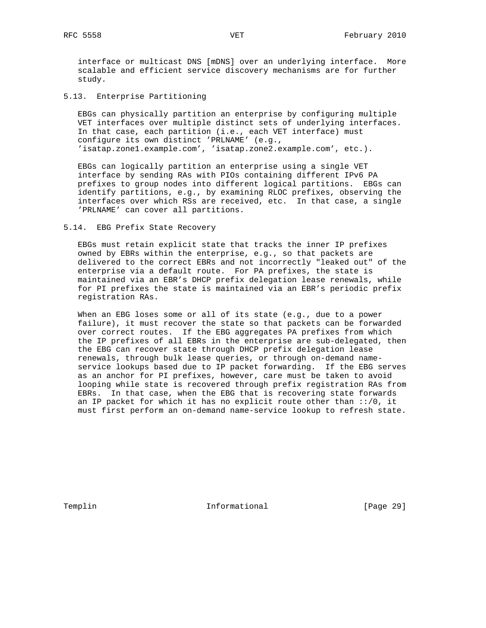interface or multicast DNS [mDNS] over an underlying interface. More scalable and efficient service discovery mechanisms are for further study.

5.13. Enterprise Partitioning

 EBGs can physically partition an enterprise by configuring multiple VET interfaces over multiple distinct sets of underlying interfaces. In that case, each partition (i.e., each VET interface) must configure its own distinct 'PRLNAME' (e.g., 'isatap.zone1.example.com', 'isatap.zone2.example.com', etc.).

 EBGs can logically partition an enterprise using a single VET interface by sending RAs with PIOs containing different IPv6 PA prefixes to group nodes into different logical partitions. EBGs can identify partitions, e.g., by examining RLOC prefixes, observing the interfaces over which RSs are received, etc. In that case, a single 'PRLNAME' can cover all partitions.

#### 5.14. EBG Prefix State Recovery

 EBGs must retain explicit state that tracks the inner IP prefixes owned by EBRs within the enterprise, e.g., so that packets are delivered to the correct EBRs and not incorrectly "leaked out" of the enterprise via a default route. For PA prefixes, the state is maintained via an EBR's DHCP prefix delegation lease renewals, while for PI prefixes the state is maintained via an EBR's periodic prefix registration RAs.

 When an EBG loses some or all of its state (e.g., due to a power failure), it must recover the state so that packets can be forwarded over correct routes. If the EBG aggregates PA prefixes from which the IP prefixes of all EBRs in the enterprise are sub-delegated, then the EBG can recover state through DHCP prefix delegation lease renewals, through bulk lease queries, or through on-demand name service lookups based due to IP packet forwarding. If the EBG serves as an anchor for PI prefixes, however, care must be taken to avoid looping while state is recovered through prefix registration RAs from EBRs. In that case, when the EBG that is recovering state forwards an IP packet for which it has no explicit route other than ::/0, it must first perform an on-demand name-service lookup to refresh state.

Templin **Informational** Informational [Page 29]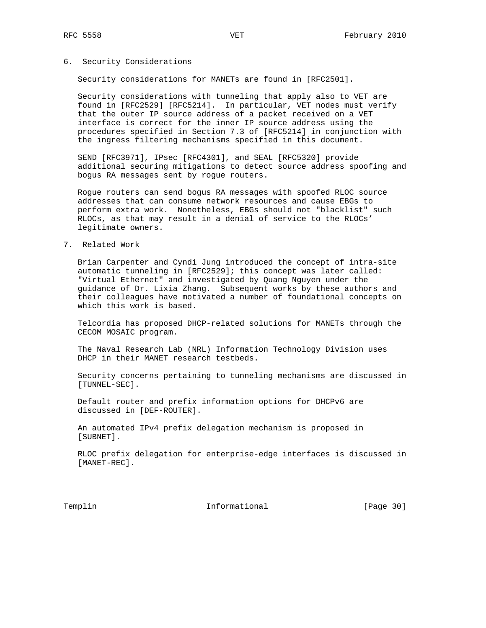# 6. Security Considerations

Security considerations for MANETs are found in [RFC2501].

 Security considerations with tunneling that apply also to VET are found in [RFC2529] [RFC5214]. In particular, VET nodes must verify that the outer IP source address of a packet received on a VET interface is correct for the inner IP source address using the procedures specified in Section 7.3 of [RFC5214] in conjunction with the ingress filtering mechanisms specified in this document.

 SEND [RFC3971], IPsec [RFC4301], and SEAL [RFC5320] provide additional securing mitigations to detect source address spoofing and bogus RA messages sent by rogue routers.

 Rogue routers can send bogus RA messages with spoofed RLOC source addresses that can consume network resources and cause EBGs to perform extra work. Nonetheless, EBGs should not "blacklist" such RLOCs, as that may result in a denial of service to the RLOCs' legitimate owners.

### 7. Related Work

 Brian Carpenter and Cyndi Jung introduced the concept of intra-site automatic tunneling in [RFC2529]; this concept was later called: "Virtual Ethernet" and investigated by Quang Nguyen under the guidance of Dr. Lixia Zhang. Subsequent works by these authors and their colleagues have motivated a number of foundational concepts on which this work is based.

 Telcordia has proposed DHCP-related solutions for MANETs through the CECOM MOSAIC program.

 The Naval Research Lab (NRL) Information Technology Division uses DHCP in their MANET research testbeds.

 Security concerns pertaining to tunneling mechanisms are discussed in [TUNNEL-SEC].

 Default router and prefix information options for DHCPv6 are discussed in [DEF-ROUTER].

 An automated IPv4 prefix delegation mechanism is proposed in [SUBNET].

 RLOC prefix delegation for enterprise-edge interfaces is discussed in [MANET-REC].

Templin **Informational** Informational [Page 30]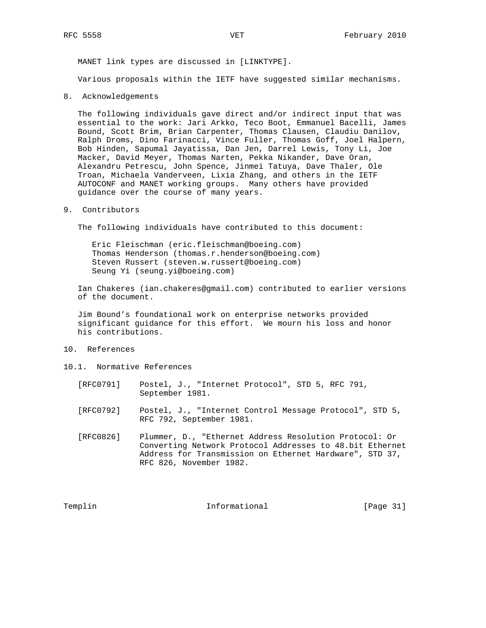MANET link types are discussed in [LINKTYPE].

Various proposals within the IETF have suggested similar mechanisms.

8. Acknowledgements

 The following individuals gave direct and/or indirect input that was essential to the work: Jari Arkko, Teco Boot, Emmanuel Bacelli, James Bound, Scott Brim, Brian Carpenter, Thomas Clausen, Claudiu Danilov, Ralph Droms, Dino Farinacci, Vince Fuller, Thomas Goff, Joel Halpern, Bob Hinden, Sapumal Jayatissa, Dan Jen, Darrel Lewis, Tony Li, Joe Macker, David Meyer, Thomas Narten, Pekka Nikander, Dave Oran, Alexandru Petrescu, John Spence, Jinmei Tatuya, Dave Thaler, Ole Troan, Michaela Vanderveen, Lixia Zhang, and others in the IETF AUTOCONF and MANET working groups. Many others have provided guidance over the course of many years.

9. Contributors

The following individuals have contributed to this document:

 Eric Fleischman (eric.fleischman@boeing.com) Thomas Henderson (thomas.r.henderson@boeing.com) Steven Russert (steven.w.russert@boeing.com) Seung Yi (seung.yi@boeing.com)

 Ian Chakeres (ian.chakeres@gmail.com) contributed to earlier versions of the document.

 Jim Bound's foundational work on enterprise networks provided significant guidance for this effort. We mourn his loss and honor his contributions.

- 10. References
- 10.1. Normative References
	- [RFC0791] Postel, J., "Internet Protocol", STD 5, RFC 791, September 1981.
	- [RFC0792] Postel, J., "Internet Control Message Protocol", STD 5, RFC 792, September 1981.
	- [RFC0826] Plummer, D., "Ethernet Address Resolution Protocol: Or Converting Network Protocol Addresses to 48.bit Ethernet Address for Transmission on Ethernet Hardware", STD 37, RFC 826, November 1982.

Templin 1nformational [Page 31]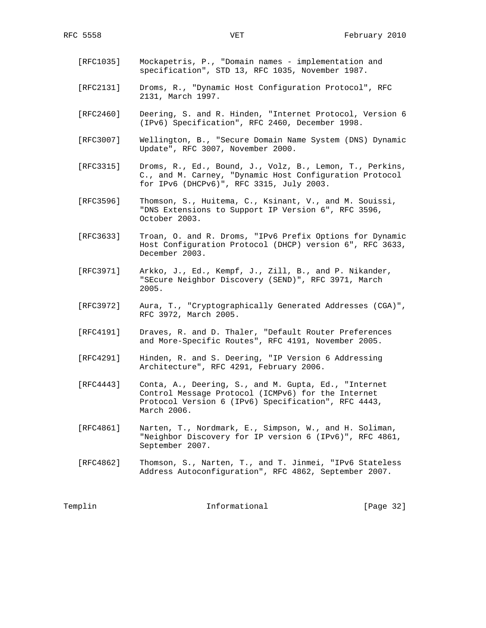- [RFC1035] Mockapetris, P., "Domain names implementation and specification", STD 13, RFC 1035, November 1987.
- [RFC2131] Droms, R., "Dynamic Host Configuration Protocol", RFC 2131, March 1997.
- [RFC2460] Deering, S. and R. Hinden, "Internet Protocol, Version 6 (IPv6) Specification", RFC 2460, December 1998.
- [RFC3007] Wellington, B., "Secure Domain Name System (DNS) Dynamic Update", RFC 3007, November 2000.
- [RFC3315] Droms, R., Ed., Bound, J., Volz, B., Lemon, T., Perkins, C., and M. Carney, "Dynamic Host Configuration Protocol for IPv6 (DHCPv6)", RFC 3315, July 2003.
- [RFC3596] Thomson, S., Huitema, C., Ksinant, V., and M. Souissi, "DNS Extensions to Support IP Version 6", RFC 3596, October 2003.
- [RFC3633] Troan, O. and R. Droms, "IPv6 Prefix Options for Dynamic Host Configuration Protocol (DHCP) version 6", RFC 3633, December 2003.
- [RFC3971] Arkko, J., Ed., Kempf, J., Zill, B., and P. Nikander, "SEcure Neighbor Discovery (SEND)", RFC 3971, March 2005.
- [RFC3972] Aura, T., "Cryptographically Generated Addresses (CGA)", RFC 3972, March 2005.
- [RFC4191] Draves, R. and D. Thaler, "Default Router Preferences and More-Specific Routes", RFC 4191, November 2005.
- [RFC4291] Hinden, R. and S. Deering, "IP Version 6 Addressing Architecture", RFC 4291, February 2006.
- [RFC4443] Conta, A., Deering, S., and M. Gupta, Ed., "Internet Control Message Protocol (ICMPv6) for the Internet Protocol Version 6 (IPv6) Specification", RFC 4443, March 2006.
- [RFC4861] Narten, T., Nordmark, E., Simpson, W., and H. Soliman, "Neighbor Discovery for IP version 6 (IPv6)", RFC 4861, September 2007.
- [RFC4862] Thomson, S., Narten, T., and T. Jinmei, "IPv6 Stateless Address Autoconfiguration", RFC 4862, September 2007.

Templin 1nformational [Page 32]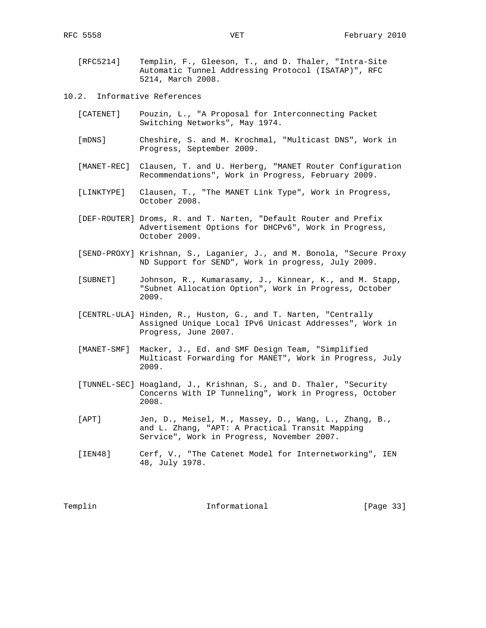- [RFC5214] Templin, F., Gleeson, T., and D. Thaler, "Intra-Site Automatic Tunnel Addressing Protocol (ISATAP)", RFC 5214, March 2008.
- 10.2. Informative References
	- [CATENET] Pouzin, L., "A Proposal for Interconnecting Packet Switching Networks", May 1974.
	- [mDNS] Cheshire, S. and M. Krochmal, "Multicast DNS", Work in Progress, September 2009.
	- [MANET-REC] Clausen, T. and U. Herberg, "MANET Router Configuration Recommendations", Work in Progress, February 2009.
	- [LINKTYPE] Clausen, T., "The MANET Link Type", Work in Progress, October 2008.
	- [DEF-ROUTER] Droms, R. and T. Narten, "Default Router and Prefix Advertisement Options for DHCPv6", Work in Progress, October 2009.
	- [SEND-PROXY] Krishnan, S., Laganier, J., and M. Bonola, "Secure Proxy ND Support for SEND", Work in progress, July 2009.
	- [SUBNET] Johnson, R., Kumarasamy, J., Kinnear, K., and M. Stapp, "Subnet Allocation Option", Work in Progress, October 2009.
	- [CENTRL-ULA] Hinden, R., Huston, G., and T. Narten, "Centrally Assigned Unique Local IPv6 Unicast Addresses", Work in Progress, June 2007.
	- [MANET-SMF] Macker, J., Ed. and SMF Design Team, "Simplified Multicast Forwarding for MANET", Work in Progress, July 2009.
	- [TUNNEL-SEC] Hoagland, J., Krishnan, S., and D. Thaler, "Security Concerns With IP Tunneling", Work in Progress, October 2008.
	- [APT] Jen, D., Meisel, M., Massey, D., Wang, L., Zhang, B., and L. Zhang, "APT: A Practical Transit Mapping Service", Work in Progress, November 2007.
	- [IEN48] Cerf, V., "The Catenet Model for Internetworking", IEN 48, July 1978.

Templin 1nformational [Page 33]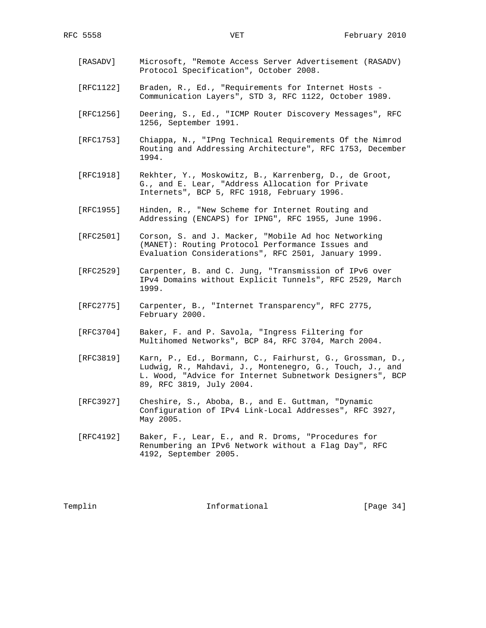- [RASADV] Microsoft, "Remote Access Server Advertisement (RASADV) Protocol Specification", October 2008.
- [RFC1122] Braden, R., Ed., "Requirements for Internet Hosts Communication Layers", STD 3, RFC 1122, October 1989.
- [RFC1256] Deering, S., Ed., "ICMP Router Discovery Messages", RFC 1256, September 1991.
- [RFC1753] Chiappa, N., "IPng Technical Requirements Of the Nimrod Routing and Addressing Architecture", RFC 1753, December 1994.
- [RFC1918] Rekhter, Y., Moskowitz, B., Karrenberg, D., de Groot, G., and E. Lear, "Address Allocation for Private Internets", BCP 5, RFC 1918, February 1996.
- [RFC1955] Hinden, R., "New Scheme for Internet Routing and Addressing (ENCAPS) for IPNG", RFC 1955, June 1996.
- [RFC2501] Corson, S. and J. Macker, "Mobile Ad hoc Networking (MANET): Routing Protocol Performance Issues and Evaluation Considerations", RFC 2501, January 1999.
- [RFC2529] Carpenter, B. and C. Jung, "Transmission of IPv6 over IPv4 Domains without Explicit Tunnels", RFC 2529, March 1999.
- [RFC2775] Carpenter, B., "Internet Transparency", RFC 2775, February 2000.
- [RFC3704] Baker, F. and P. Savola, "Ingress Filtering for Multihomed Networks", BCP 84, RFC 3704, March 2004.
- [RFC3819] Karn, P., Ed., Bormann, C., Fairhurst, G., Grossman, D., Ludwig, R., Mahdavi, J., Montenegro, G., Touch, J., and L. Wood, "Advice for Internet Subnetwork Designers", BCP 89, RFC 3819, July 2004.
- [RFC3927] Cheshire, S., Aboba, B., and E. Guttman, "Dynamic Configuration of IPv4 Link-Local Addresses", RFC 3927, May 2005.
- [RFC4192] Baker, F., Lear, E., and R. Droms, "Procedures for Renumbering an IPv6 Network without a Flag Day", RFC 4192, September 2005.

Templin 1nformational [Page 34]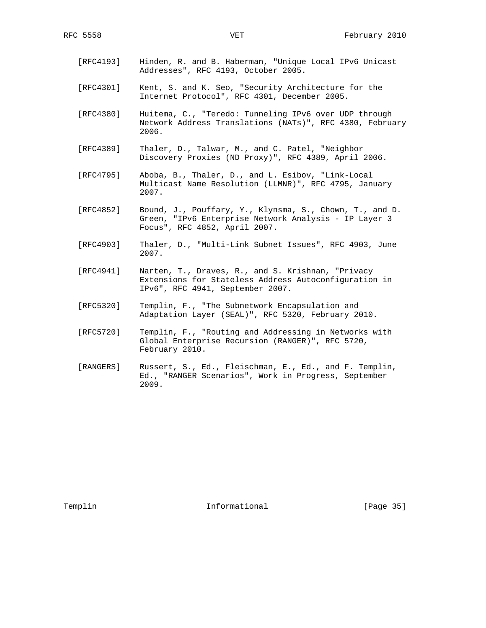- [RFC4193] Hinden, R. and B. Haberman, "Unique Local IPv6 Unicast Addresses", RFC 4193, October 2005.
- [RFC4301] Kent, S. and K. Seo, "Security Architecture for the Internet Protocol", RFC 4301, December 2005.
- [RFC4380] Huitema, C., "Teredo: Tunneling IPv6 over UDP through Network Address Translations (NATs)", RFC 4380, February 2006.
- [RFC4389] Thaler, D., Talwar, M., and C. Patel, "Neighbor Discovery Proxies (ND Proxy)", RFC 4389, April 2006.
- [RFC4795] Aboba, B., Thaler, D., and L. Esibov, "Link-Local Multicast Name Resolution (LLMNR)", RFC 4795, January 2007.
- [RFC4852] Bound, J., Pouffary, Y., Klynsma, S., Chown, T., and D. Green, "IPv6 Enterprise Network Analysis - IP Layer 3 Focus", RFC 4852, April 2007.
- [RFC4903] Thaler, D., "Multi-Link Subnet Issues", RFC 4903, June 2007.
- [RFC4941] Narten, T., Draves, R., and S. Krishnan, "Privacy Extensions for Stateless Address Autoconfiguration in IPv6", RFC 4941, September 2007.
- [RFC5320] Templin, F., "The Subnetwork Encapsulation and Adaptation Layer (SEAL)", RFC 5320, February 2010.
- [RFC5720] Templin, F., "Routing and Addressing in Networks with Global Enterprise Recursion (RANGER)", RFC 5720, February 2010.
- [RANGERS] Russert, S., Ed., Fleischman, E., Ed., and F. Templin, Ed., "RANGER Scenarios", Work in Progress, September 2009.

Templin 1nformational [Page 35]